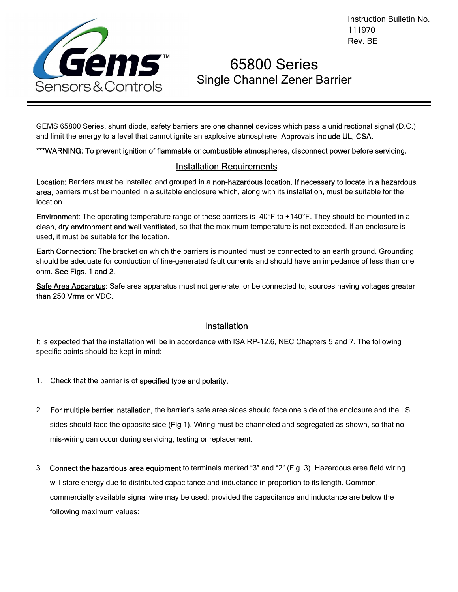

# 65800 Series Single Channel Zener Barrier

GEMS 65800 Series, shunt diode, safety barriers are one channel devices which pass a unidirectional signal (D.C.) and limit the energy to a level that cannot ignite an explosive atmosphere. Approvals include UL, CSA.

\*\*\*WARNING: To prevent ignition of flammable or combustible atmospheres, disconnect power before servicing.

## Installation Requirements

Location: Barriers must be installed and grouped in a non-hazardous location. If necessary to locate in a hazardous area, barriers must be mounted in a suitable enclosure which, along with its installation, must be suitable for the location.

Environment: The operating temperature range of these barriers is –40°F to +140°F. They should be mounted in a clean, dry environment and well ventilated, so that the maximum temperature is not exceeded. If an enclosure is used, it must be suitable for the location.

Earth Connection: The bracket on which the barriers is mounted must be connected to an earth ground. Grounding should be adequate for conduction of line-generated fault currents and should have an impedance of less than one ohm. See Figs. 1 and 2.

Safe Area Apparatus: Safe area apparatus must not generate, or be connected to, sources having voltages greater than 250 Vrms or VDC.

#### Installation

It is expected that the installation will be in accordance with ISA RP-12.6, NEC Chapters 5 and 7. The following specific points should be kept in mind:

- 1. Check that the barrier is of specified type and polarity.
- 2. For multiple barrier installation, the barrier's safe area sides should face one side of the enclosure and the I.S. sides should face the opposite side (Fig 1). Wiring must be channeled and segregated as shown, so that no mis-wiring can occur during servicing, testing or replacement.
- 3. Connect the hazardous area equipment to terminals marked "3" and "2" (Fig. 3). Hazardous area field wiring will store energy due to distributed capacitance and inductance in proportion to its length. Common, commercially available signal wire may be used; provided the capacitance and inductance are below the following maximum values: